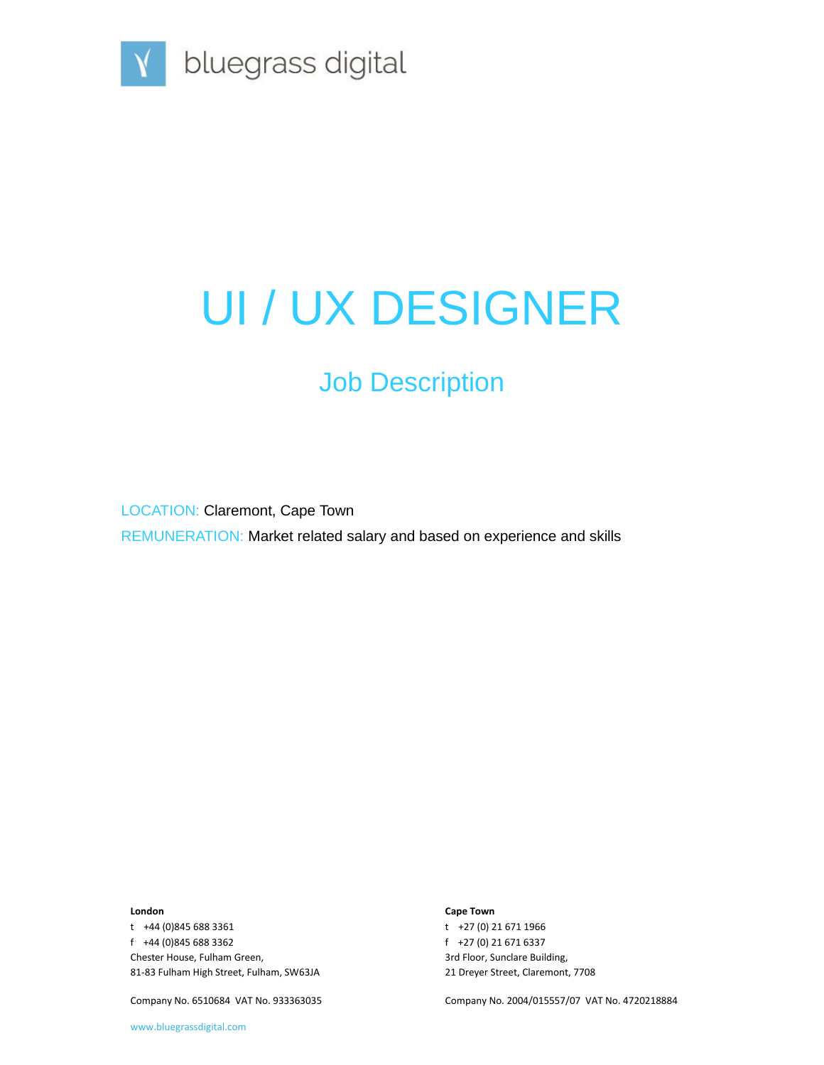

# UI / UX DESIGNER

### Job Description

LOCATION: Claremont, Cape Town REMUNERATION: Market related salary and based on experience and skills

#### **London**

t +44 (0)845 688 3361 f +44 (0)845 688 3362 Chester House, Fulham Green, 81-83 Fulham High Street, Fulham, SW63JA

Company No. 6510684 VAT No. 933363035

**Cape Town**

t +27 (0) 21 671 1966 f +27 (0) 21 671 6337 3rd Floor, Sunclare Building, 21 Dreyer Street, Claremont, 7708

Company No. 2004/015557/07 VAT No. 4720218884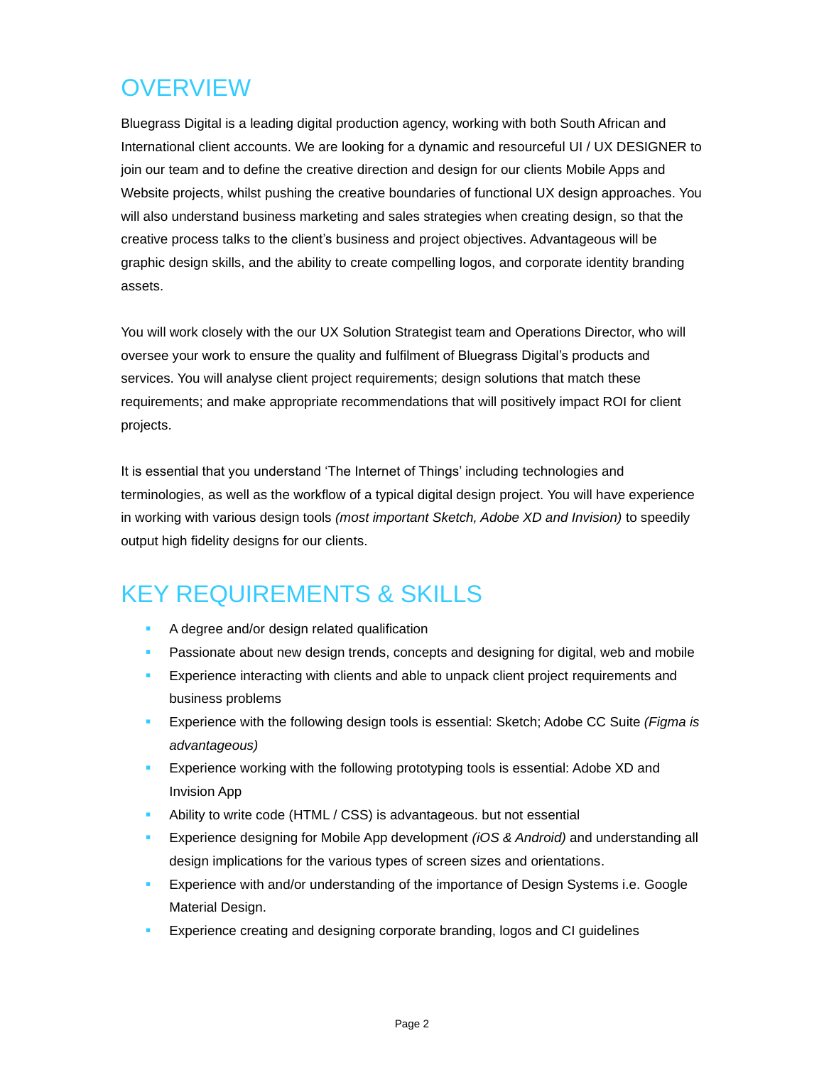## **OVERVIEW**

Bluegrass Digital is a leading digital production agency, working with both South African and International client accounts. We are looking for a dynamic and resourceful UI / UX DESIGNER to join our team and to define the creative direction and design for our clients Mobile Apps and Website projects, whilst pushing the creative boundaries of functional UX design approaches. You will also understand business marketing and sales strategies when creating design, so that the creative process talks to the client's business and project objectives. Advantageous will be graphic design skills, and the ability to create compelling logos, and corporate identity branding assets.

You will work closely with the our UX Solution Strategist team and Operations Director, who will oversee your work to ensure the quality and fulfilment of Bluegrass Digital's products and services. You will analyse client project requirements; design solutions that match these requirements; and make appropriate recommendations that will positively impact ROI for client projects.

It is essential that you understand 'The Internet of Things' including technologies and terminologies, as well as the workflow of a typical digital design project. You will have experience in working with various design tools *(most important Sketch, Adobe XD and Invision)* to speedily output high fidelity designs for our clients.

### KEY REQUIREMENTS & SKILLS

- A degree and/or design related qualification
- **EXEDENT ASSESS** Passionate about new design trends, concepts and designing for digital, web and mobile
- **Experience interacting with clients and able to unpack client project requirements and** business problems
- **Experience with the following design tools is essential: Sketch; Adobe CC Suite** *(Figma is***)** *advantageous)*
- **Experience working with the following prototyping tools is essential: Adobe XD and** Invision App
- Ability to write code (HTML / CSS) is advantageous. but not essential
- Experience designing for Mobile App development *(iOS & Android)* and understanding all design implications for the various types of screen sizes and orientations.
- Experience with and/or understanding of the importance of Design Systems i.e. Google Material Design.
- Experience creating and designing corporate branding, logos and CI guidelines